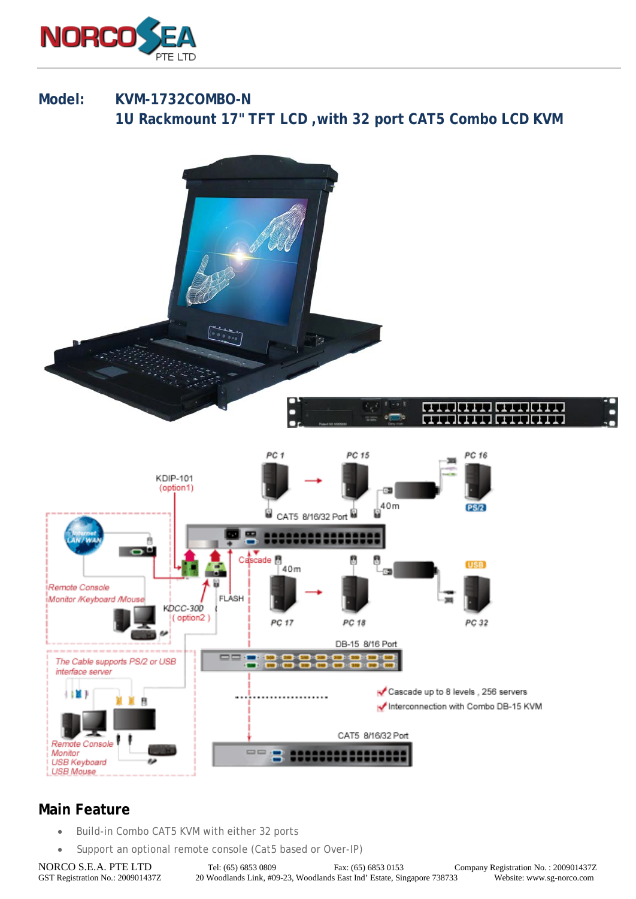

## **Model: KVM-1732COMBO-N 1U Rackmount 17" TFT LCD ,with 32 port CAT5 Combo LCD KVM**



## **Main Feature**

- Build-in Combo CAT5 KVM with either 32 ports
- Support an optional remote console (Cat5 based or Over-IP)

NORCO S.E.A. PTE LTD Tel: (65) 6853 0809 Fax: (65) 6853 0153 Company Registration No. : 200901437Z<br>GST Registration No. : 200901437Z 20 Woodlands Link, #09-23, Woodlands East Ind' Estate, Singapore 738733 Website: www.sg-n 20 Woodlands Link, #09-23, Woodlands East Ind' Estate, Singapore 738733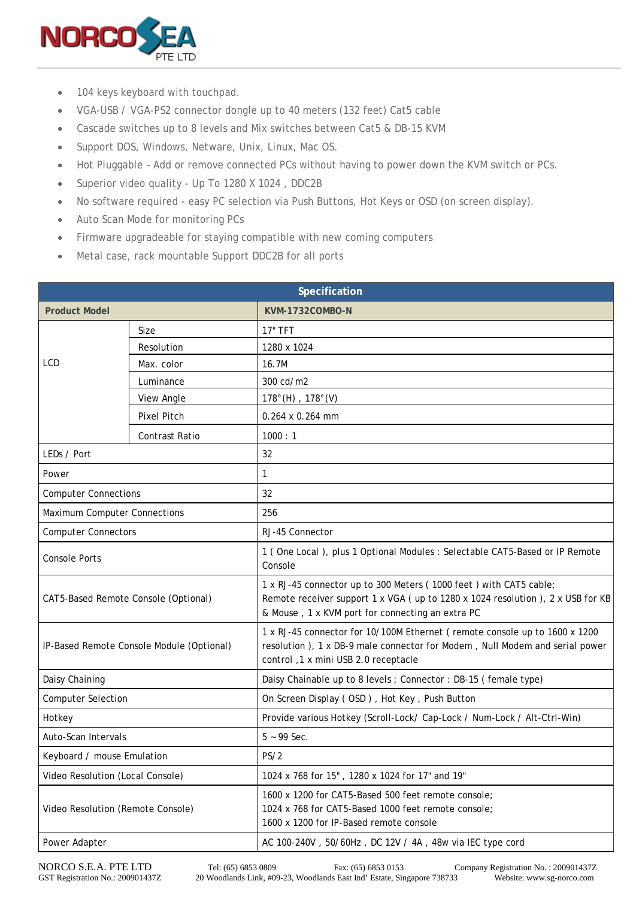

- 104 keys keyboard with touchpad.
- VGA-USB / VGA-PS2 connector dongle up to 40 meters (132 feet) Cat5 cable
- Cascade switches up to 8 levels and Mix switches between Cat5 & DB-15 KVM
- Support DOS, Windows, Netware, Unix, Linux, Mac OS.
- Hot Pluggable Add or remove connected PCs without having to power down the KVM switch or PCs.
- Superior video quality Up To 1280 X 1024 , DDC2B
- No software required easy PC selection via Push Buttons, Hot Keys or OSD (on screen display).
- Auto Scan Mode for monitoring PCs
- Firmware upgradeable for staying compatible with new coming computers
- Metal case, rack mountable Support DDC2B for all ports

| Specification                             |                    |                                                                                                                                                                                                           |  |
|-------------------------------------------|--------------------|-----------------------------------------------------------------------------------------------------------------------------------------------------------------------------------------------------------|--|
| <b>Product Model</b>                      |                    | KVM-1732COMBO-N                                                                                                                                                                                           |  |
| LCD                                       | Size               | <b>17" TFT</b>                                                                                                                                                                                            |  |
|                                           | Resolution         | 1280 x 1024                                                                                                                                                                                               |  |
|                                           | Max. color         | 16.7M                                                                                                                                                                                                     |  |
|                                           | Luminance          | 300 cd/m2                                                                                                                                                                                                 |  |
|                                           | View Angle         | $178^{\circ}$ (H), $178^{\circ}$ (V)                                                                                                                                                                      |  |
|                                           | <b>Pixel Pitch</b> | 0.264 x 0.264 mm                                                                                                                                                                                          |  |
|                                           | Contrast Ratio     | 1000:1                                                                                                                                                                                                    |  |
| LEDs / Port                               |                    | 32                                                                                                                                                                                                        |  |
| Power                                     |                    | 1                                                                                                                                                                                                         |  |
| <b>Computer Connections</b>               |                    | 32                                                                                                                                                                                                        |  |
| Maximum Computer Connections              |                    | 256                                                                                                                                                                                                       |  |
| <b>Computer Connectors</b>                |                    | RJ-45 Connector                                                                                                                                                                                           |  |
| <b>Console Ports</b>                      |                    | 1 (One Local), plus 1 Optional Modules : Selectable CAT5-Based or IP Remote<br>Console                                                                                                                    |  |
| CAT5-Based Remote Console (Optional)      |                    | 1 x RJ-45 connector up to 300 Meters (1000 feet) with CAT5 cable;<br>Remote receiver support 1 x VGA ( up to 1280 x 1024 resolution ), 2 x USB for KB<br>& Mouse, 1 x KVM port for connecting an extra PC |  |
| IP-Based Remote Console Module (Optional) |                    | 1 x RJ-45 connector for 10/100M Ethernet (remote console up to 1600 x 1200<br>resolution), 1 x DB-9 male connector for Modem, Null Modem and serial power<br>control, 1 x mini USB 2.0 receptacle         |  |
| Daisy Chaining                            |                    | Daisy Chainable up to 8 levels ; Connector : DB-15 (female type)                                                                                                                                          |  |
| <b>Computer Selection</b>                 |                    | On Screen Display (OSD), Hot Key, Push Button                                                                                                                                                             |  |
| Hotkey                                    |                    | Provide various Hotkey (Scroll-Lock/ Cap-Lock / Num-Lock / Alt-Ctrl-Win)                                                                                                                                  |  |
| Auto-Scan Intervals                       |                    | $5 - 99$ Sec.                                                                                                                                                                                             |  |
| Keyboard / mouse Emulation                |                    | PS/2                                                                                                                                                                                                      |  |
| Video Resolution (Local Console)          |                    | 1024 x 768 for 15", 1280 x 1024 for 17" and 19"                                                                                                                                                           |  |
| Video Resolution (Remote Console)         |                    | 1600 x 1200 for CAT5-Based 500 feet remote console;<br>1024 x 768 for CAT5-Based 1000 feet remote console;<br>1600 x 1200 for IP-Based remote console                                                     |  |
| Power Adapter                             |                    | AC 100-240V, 50/60Hz, DC 12V / 4A, 48w via IEC type cord                                                                                                                                                  |  |